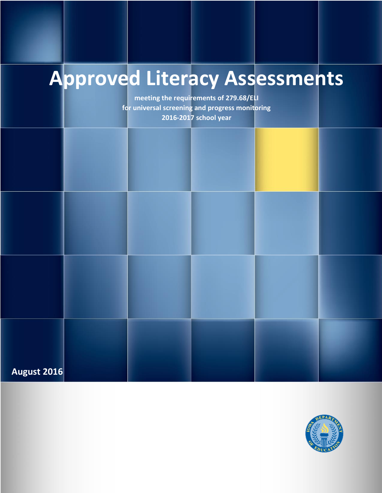# **Approved Literacy Assessments**

**meeting the requirements of 279.68/ELI for universal screening and progress monitoring 2016-2017 school year**



**August 2016**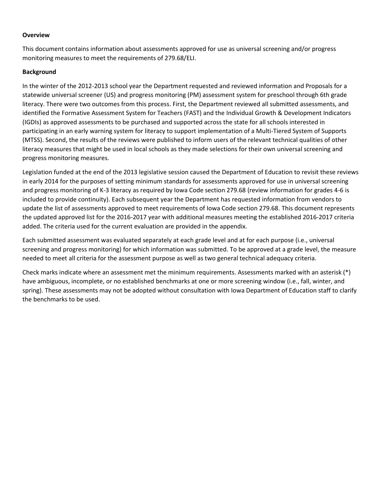#### **Overview**

This document contains information about assessments approved for use as universal screening and/or progress monitoring measures to meet the requirements of 279.68/ELI.

#### **Background**

In the winter of the 2012-2013 school year the Department requested and reviewed information and Proposals for a statewide universal screener (US) and progress monitoring (PM) assessment system for preschool through 6th grade literacy. There were two outcomes from this process. First, the Department reviewed all submitted assessments, and identified the Formative Assessment System for Teachers (FAST) and the Individual Growth & Development Indicators (IGDIs) as approved assessments to be purchased and supported across the state for all schools interested in participating in an early warning system for literacy to support implementation of a Multi-Tiered System of Supports (MTSS). Second, the results of the reviews were published to inform users of the relevant technical qualities of other literacy measures that might be used in local schools as they made selections for their own universal screening and progress monitoring measures.

Legislation funded at the end of the 2013 legislative session caused the Department of Education to revisit these reviews in early 2014 for the purposes of setting minimum standards for assessments approved for use in universal screening and progress monitoring of K-3 literacy as required by Iowa Code section 279.68 (review information for grades 4-6 is included to provide continuity). Each subsequent year the Department has requested information from vendors to update the list of assessments approved to meet requirements of Iowa Code section 279.68. This document represents the updated approved list for the 2016-2017 year with additional measures meeting the established 2016-2017 criteria added. The criteria used for the current evaluation are provided in the appendix.

Each submitted assessment was evaluated separately at each grade level and at for each purpose (i.e., universal screening and progress monitoring) for which information was submitted. To be approved at a grade level, the measure needed to meet all criteria for the assessment purpose as well as two general technical adequacy criteria.

Check marks indicate where an assessment met the minimum requirements. Assessments marked with an asterisk (\*) have ambiguous, incomplete, or no established benchmarks at one or more screening window (i.e., fall, winter, and spring). These assessments may not be adopted without consultation with Iowa Department of Education staff to clarify the benchmarks to be used.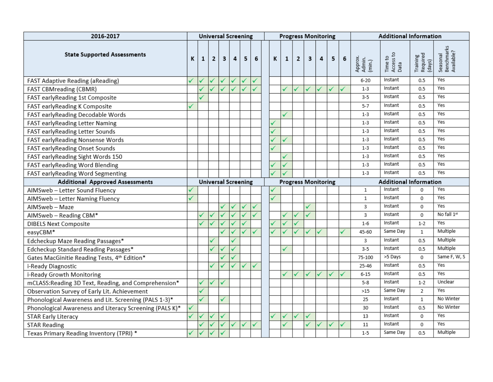| 2016-2017                                               | <b>Universal Screening</b> |   |                |   |   |   |   | <b>Progress Monitoring</b> |   |   |              |   |   |   |   | <b>Additional Information</b> |                              |                                |                                      |
|---------------------------------------------------------|----------------------------|---|----------------|---|---|---|---|----------------------------|---|---|--------------|---|---|---|---|-------------------------------|------------------------------|--------------------------------|--------------------------------------|
| <b>State Supported Assessments</b>                      | К                          | 1 | $\overline{2}$ | 3 | 4 | 5 | 6 |                            | K | 1 | $\mathbf{2}$ | 3 | 4 | 5 | 6 | Approx.<br>Admin.<br>(min.)   | Time to<br>Access to<br>Data | Training<br>Required<br>(days) | Seasonal<br>Benchmarks<br>Available? |
| FAST Adaptive Reading (aReading)                        |                            |   |                | ✓ | ✓ |   |   |                            |   |   |              |   |   |   |   | $6 - 20$                      | Instant                      | 0.5                            | Yes                                  |
| FAST CBMreading (CBMR)                                  |                            |   |                | ✓ | ✓ |   |   |                            |   |   | ✓            | ✓ | ✓ |   |   | $1 - 3$                       | Instant                      | 0.5                            | Yes                                  |
| FAST earlyReading 1st Composite                         |                            |   |                |   |   |   |   |                            |   |   |              |   |   |   |   | $3 - 5$                       | Instant                      | 0.5                            | Yes                                  |
| FAST earlyReading K Composite                           |                            |   |                |   |   |   |   |                            |   |   |              |   |   |   |   | $5 - 7$                       | Instant                      | 0.5                            | Yes                                  |
| FAST earlyReading Decodable Words                       |                            |   |                |   |   |   |   |                            |   |   |              |   |   |   |   | $1-3$                         | Instant                      | 0.5                            | Yes                                  |
| FAST earlyReading Letter Naming                         |                            |   |                |   |   |   |   |                            |   |   |              |   |   |   |   | $1 - 3$                       | Instant                      | 0.5                            | Yes                                  |
| FAST earlyReading Letter Sounds                         |                            |   |                |   |   |   |   |                            |   |   |              |   |   |   |   | $1 - 3$                       | Instant                      | 0.5                            | Yes                                  |
| FAST earlyReading Nonsense Words                        |                            |   |                |   |   |   |   |                            |   | ✓ |              |   |   |   |   | $1-3$                         | Instant                      | 0.5                            | Yes                                  |
| FAST earlyReading Onset Sounds                          |                            |   |                |   |   |   |   |                            |   |   |              |   |   |   |   | $1 - 3$                       | Instant                      | 0.5                            | Yes                                  |
| FAST early Reading Sight Words 150                      |                            |   |                |   |   |   |   |                            |   |   |              |   |   |   |   | $1-3$                         | Instant                      | 0.5                            | Yes                                  |
| FAST earlyReading Word Blending                         |                            |   |                |   |   |   |   |                            |   |   |              |   |   |   |   | $1 - 3$                       | Instant                      | 0.5                            | Yes                                  |
| FAST earlyReading Word Segmenting                       |                            |   |                |   |   |   |   |                            |   |   |              |   |   |   |   | $1-3$                         | Instant                      | 0.5                            | Yes                                  |
| <b>Additional Approved Assessments</b>                  | <b>Universal Screening</b> |   |                |   |   |   |   | <b>Progress Monitoring</b> |   |   |              |   |   |   |   | <b>Additional Information</b> |                              |                                |                                      |
| AIMSweb - Letter Sound Fluency                          |                            |   |                |   |   |   |   |                            |   |   |              |   |   |   |   | $\mathbf{1}$                  | Instant                      | 0                              | Yes                                  |
| AIMSweb - Letter Naming Fluency                         |                            |   |                |   |   |   |   |                            |   |   |              |   |   |   |   | $\mathbf{1}$                  | Instant                      | 0                              | Yes                                  |
| AIMSweb - Maze                                          |                            |   |                |   | ✓ |   |   |                            |   |   |              | ✓ |   |   |   | 3                             | Instant                      | 0                              | Yes                                  |
| AIMSweb - Reading CBM*                                  |                            |   |                |   |   |   |   |                            |   |   |              |   |   |   |   | 3                             | Instant                      | $\Omega$                       | No fall 1st                          |
| <b>DIBELS Next Composite</b>                            |                            |   |                |   | ✓ |   |   |                            |   |   |              |   |   |   |   | $1-6$                         | Instant                      | $1 - 2$                        | Yes                                  |
| easyCBM*                                                |                            |   |                |   | ✓ |   |   |                            |   |   |              | ✓ | ✓ |   |   | 45-60                         | Same Day                     | $\mathbf{1}$                   | Multiple                             |
| Edcheckup Maze Reading Passages*                        |                            |   |                |   |   |   |   |                            |   |   |              |   |   |   |   | 3                             | Instant                      | 0.5                            | Multiple                             |
| Edcheckup Standard Reading Passages*                    |                            |   |                |   |   |   |   |                            |   |   |              |   |   |   |   | $3-5$                         | Instant                      | 0.5                            | Multiple                             |
| Gates MacGinitie Reading Tests, 4th Edition*            |                            |   |                |   |   |   |   |                            |   |   |              |   |   |   |   | 75-100                        | >5 Days                      | 0                              | Same F, W, S                         |
| i-Ready Diagnostic                                      |                            |   |                |   | ✓ |   |   |                            |   |   |              |   |   |   |   | 25-46                         | Instant                      | 0.5                            | Yes                                  |
| i-Ready Growth Monitoring                               |                            |   |                |   |   |   |   |                            |   |   |              |   |   |   |   | $6 - 15$                      | Instant                      | 0.5                            | Yes                                  |
| mCLASS:Reading 3D Text, Reading, and Comprehension*     |                            |   |                |   |   |   |   |                            |   |   |              |   |   |   |   | $5 - 8$                       | Instant                      | $1 - 2$                        | Unclear                              |
| Observation Survey of Early Lit. Achievement            |                            |   |                |   |   |   |   |                            |   |   |              |   |   |   |   | >15                           | Same Day                     | $\overline{2}$                 | Yes                                  |
| Phonological Awareness and Lit. Screening (PALS 1-3)*   |                            |   |                |   |   |   |   |                            |   |   |              |   |   |   |   | 25                            | Instant                      | $\mathbf{1}$                   | No Winter                            |
| Phonological Awareness and Literacy Screening (PALS K)* |                            |   |                |   |   |   |   |                            |   |   |              |   |   |   |   | 30                            | Instant                      | 0.5                            | No Winter                            |
| <b>STAR Early Literacy</b>                              |                            |   |                |   |   |   |   |                            |   |   |              |   |   |   |   | 13                            | Instant                      | 0                              | Yes                                  |
| <b>STAR Reading</b>                                     |                            |   |                |   | ✓ |   |   |                            |   |   |              |   |   |   |   | 11                            | Instant                      | 0                              | Yes                                  |
| Texas Primary Reading Inventory (TPRI) *                |                            |   |                |   |   |   |   |                            |   |   |              |   |   |   |   | $1-5$                         | Same Day                     | 0.5                            | Multiple                             |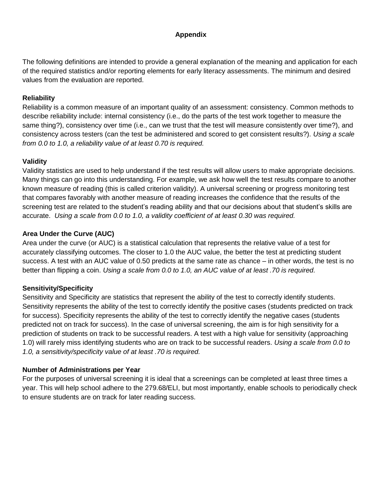# **Appendix**

The following definitions are intended to provide a general explanation of the meaning and application for each of the required statistics and/or reporting elements for early literacy assessments. The minimum and desired values from the evaluation are reported.

# **Reliability**

Reliability is a common measure of an important quality of an assessment: consistency. Common methods to describe reliability include: internal consistency (i.e., do the parts of the test work together to measure the same thing?), consistency over time (i.e., can we trust that the test will measure consistently over time?), and consistency across testers (can the test be administered and scored to get consistent results?). *Using a scale from 0.0 to 1.0, a reliability value of at least 0.70 is required.*

# **Validity**

Validity statistics are used to help understand if the test results will allow users to make appropriate decisions. Many things can go into this understanding. For example, we ask how well the test results compare to another known measure of reading (this is called criterion validity). A universal screening or progress monitoring test that compares favorably with another measure of reading increases the confidence that the results of the screening test are related to the student's reading ability and that our decisions about that student's skills are accurate. *Using a scale from 0.0 to 1.0, a validity coefficient of at least 0.30 was required.*

# **Area Under the Curve (AUC)**

Area under the curve (or AUC) is a statistical calculation that represents the relative value of a test for accurately classifying outcomes. The closer to 1.0 the AUC value, the better the test at predicting student success. A test with an AUC value of 0.50 predicts at the same rate as chance – in other words, the test is no better than flipping a coin. *Using a scale from 0.0 to 1.0, an AUC value of at least .70 is required.*

# **Sensitivity/Specificity**

Sensitivity and Specificity are statistics that represent the ability of the test to correctly identify students. Sensitivity represents the ability of the test to correctly identify the positive cases (students predicted on track for success). Specificity represents the ability of the test to correctly identify the negative cases (students predicted not on track for success). In the case of universal screening, the aim is for high sensitivity for a prediction of students on track to be successful readers. A test with a high value for sensitivity (approaching 1.0) will rarely miss identifying students who are on track to be successful readers. *Using a scale from 0.0 to 1.0, a sensitivity/specificity value of at least .70 is required.*

# **Number of Administrations per Year**

For the purposes of universal screening it is ideal that a screenings can be completed at least three times a year. This will help school adhere to the 279.68/ELI, but most importantly, enable schools to periodically check to ensure students are on track for later reading success.